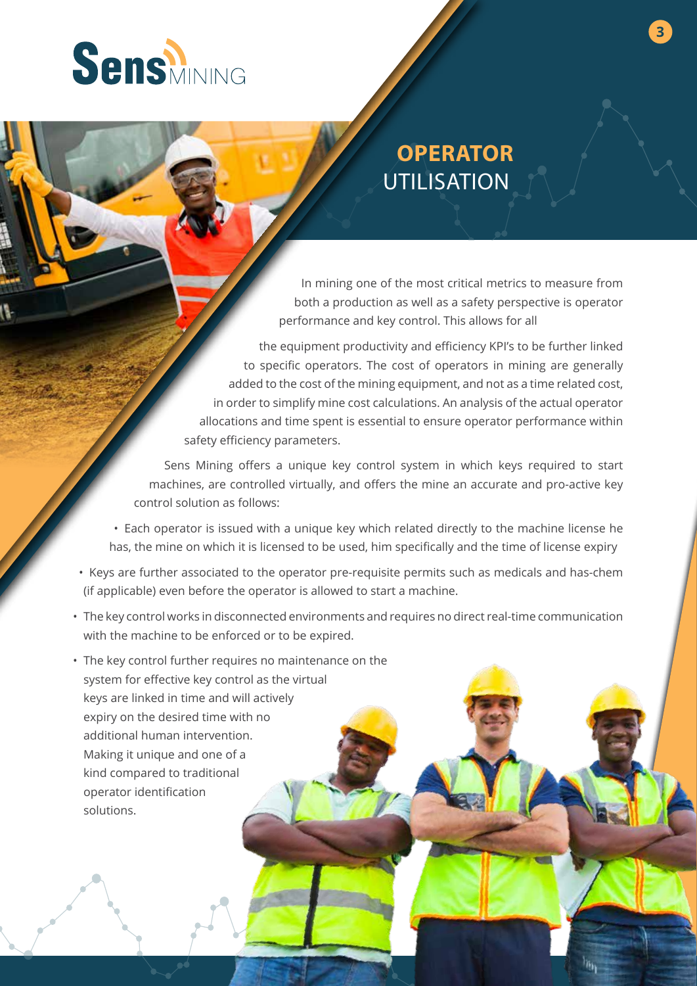

## **OPERATOR** UTILISATION

**3**

In mining one of the most critical metrics to measure from both a production as well as a safety perspective is operator performance and key control. This allows for all

the equipment productivity and efficiency KPI's to be further linked to specific operators. The cost of operators in mining are generally added to the cost of the mining equipment, and not as a time related cost, in order to simplify mine cost calculations. An analysis of the actual operator allocations and time spent is essential to ensure operator performance within safety efficiency parameters.

Sens Mining offers a unique key control system in which keys required to start machines, are controlled virtually, and offers the mine an accurate and pro-active key control solution as follows:

• Each operator is issued with a unique key which related directly to the machine license he has, the mine on which it is licensed to be used, him specifically and the time of license expiry

- Keys are further associated to the operator pre-requisite permits such as medicals and has-chem (if applicable) even before the operator is allowed to start a machine.
- The key control works in disconnected environments and requires no direct real-time communication with the machine to be enforced or to be expired.
- The key control further requires no maintenance on the system for effective key control as the virtual keys are linked in time and will actively expiry on the desired time with no additional human intervention. Making it unique and one of a kind compared to traditional operator identification solutions.